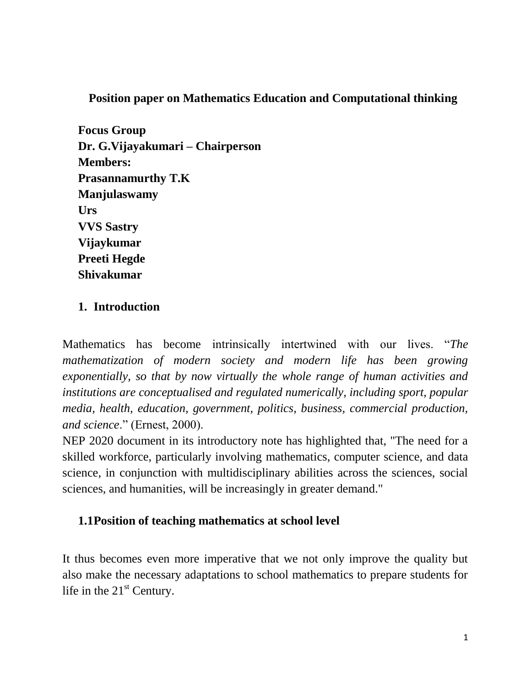**Position paper on Mathematics Education and Computational thinking** 

**Focus Group Dr. G.Vijayakumari – Chairperson Members: Prasannamurthy T.K Manjulaswamy Urs VVS Sastry Vijaykumar Preeti Hegde Shivakumar**

#### **1. Introduction**

Mathematics has become intrinsically intertwined with our lives. "*The mathematization of modern society and modern life has been growing exponentially, so that by now virtually the whole range of human activities and institutions are conceptualised and regulated numerically, including sport, popular media, health, education, government, politics, business, commercial production, and science*." (Ernest, 2000).

NEP 2020 document in its introductory note has highlighted that, "The need for a skilled workforce, particularly involving mathematics, computer science, and data science, in conjunction with multidisciplinary abilities across the sciences, social sciences, and humanities, will be increasingly in greater demand."

#### **1.1Position of teaching mathematics at school level**

It thus becomes even more imperative that we not only improve the quality but also make the necessary adaptations to school mathematics to prepare students for life in the  $21<sup>st</sup>$  Century.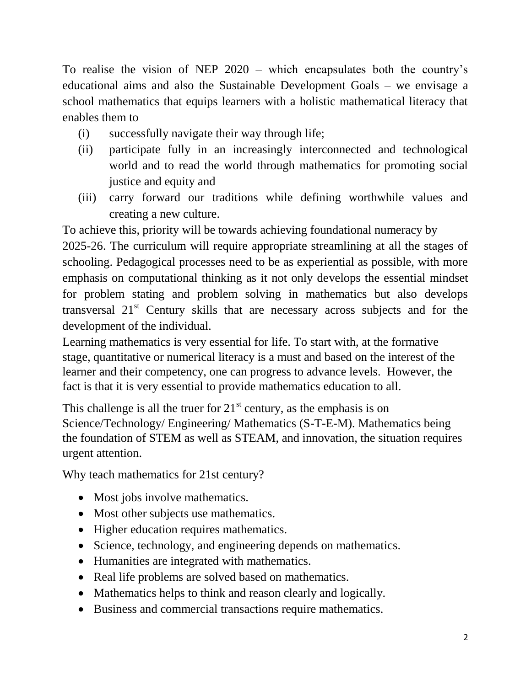To realise the vision of NEP 2020 – which encapsulates both the country's educational aims and also the Sustainable Development Goals – we envisage a school mathematics that equips learners with a holistic mathematical literacy that enables them to

- (i) successfully navigate their way through life;
- (ii) participate fully in an increasingly interconnected and technological world and to read the world through mathematics for promoting social justice and equity and
- (iii) carry forward our traditions while defining worthwhile values and creating a new culture.

To achieve this, priority will be towards achieving foundational numeracy by 2025-26. The curriculum will require appropriate streamlining at all the stages of schooling. Pedagogical processes need to be as experiential as possible, with more emphasis on computational thinking as it not only develops the essential mindset for problem stating and problem solving in mathematics but also develops transversal 21<sup>st</sup> Century skills that are necessary across subjects and for the development of the individual.

Learning mathematics is very essential for life. To start with, at the formative stage, quantitative or numerical literacy is a must and based on the interest of the learner and their competency, one can progress to advance levels. However, the fact is that it is very essential to provide mathematics education to all.

This challenge is all the truer for  $21<sup>st</sup>$  century, as the emphasis is on Science/Technology/ Engineering/ Mathematics (S-T-E-M). Mathematics being the foundation of STEM as well as STEAM, and innovation, the situation requires urgent attention.

Why teach mathematics for 21st century?

- Most jobs involve mathematics.
- Most other subjects use mathematics.
- Higher education requires mathematics.
- Science, technology, and engineering depends on mathematics.
- Humanities are integrated with mathematics.
- Real life problems are solved based on mathematics.
- Mathematics helps to think and reason clearly and logically.
- Business and commercial transactions require mathematics.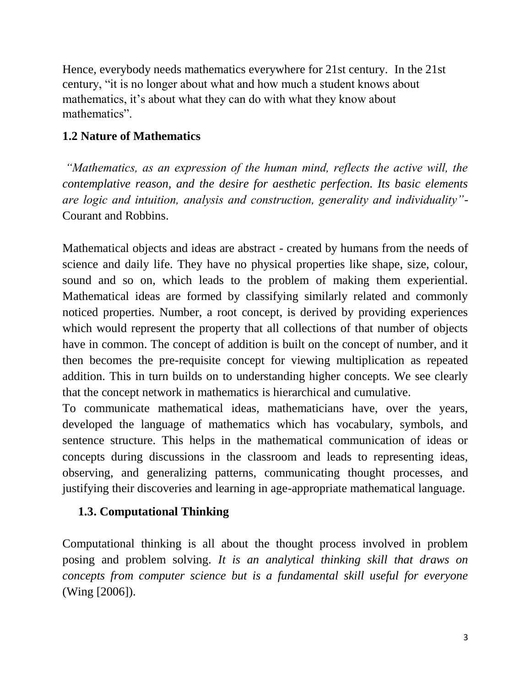Hence, everybody needs mathematics everywhere for 21st century. In the 21st century, "it is no longer about what and how much a student knows about mathematics, it's about what they can do with what they know about mathematics".

#### **1.2 Nature of Mathematics**

*"Mathematics, as an expression of the human mind, reflects the active will, the contemplative reason, and the desire for aesthetic perfection. Its basic elements are logic and intuition, analysis and construction, generality and individuality"-* Courant and Robbins.

Mathematical objects and ideas are abstract - created by humans from the needs of science and daily life. They have no physical properties like shape, size, colour, sound and so on, which leads to the problem of making them experiential. Mathematical ideas are formed by classifying similarly related and commonly noticed properties. Number, a root concept, is derived by providing experiences which would represent the property that all collections of that number of objects have in common. The concept of addition is built on the concept of number, and it then becomes the pre-requisite concept for viewing multiplication as repeated addition. This in turn builds on to understanding higher concepts. We see clearly that the concept network in mathematics is hierarchical and cumulative.

To communicate mathematical ideas, mathematicians have, over the years, developed the language of mathematics which has vocabulary, symbols, and sentence structure. This helps in the mathematical communication of ideas or concepts during discussions in the classroom and leads to representing ideas, observing, and generalizing patterns, communicating thought processes, and justifying their discoveries and learning in age-appropriate mathematical language.

### **1.3. Computational Thinking**

Computational thinking is all about the thought process involved in problem posing and problem solving. *It is an analytical thinking skill that draws on concepts from computer science but is a fundamental skill useful for everyone* (Wing [2006]).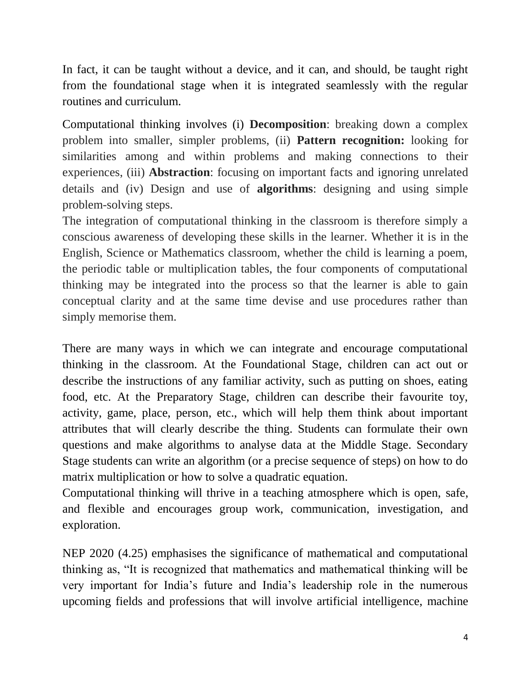In fact, it can be taught without a device, and it can, and should, be taught right from the foundational stage when it is integrated seamlessly with the regular routines and curriculum.

Computational thinking involves (i) **Decomposition**: breaking down a complex problem into smaller, simpler problems, (ii) **Pattern recognition:** looking for similarities among and within problems and making connections to their experiences, (iii) **Abstraction**: focusing on important facts and ignoring unrelated details and (iv) Design and use of **algorithms**: designing and using simple problem-solving steps.

The integration of computational thinking in the classroom is therefore simply a conscious awareness of developing these skills in the learner. Whether it is in the English, Science or Mathematics classroom, whether the child is learning a poem, the periodic table or multiplication tables, the four components of computational thinking may be integrated into the process so that the learner is able to gain conceptual clarity and at the same time devise and use procedures rather than simply memorise them.

There are many ways in which we can integrate and encourage computational thinking in the classroom. At the Foundational Stage, children can act out or describe the instructions of any familiar activity, such as putting on shoes, eating food, etc. At the Preparatory Stage, children can describe their favourite toy, activity, game, place, person, etc., which will help them think about important attributes that will clearly describe the thing. Students can formulate their own questions and make algorithms to analyse data at the Middle Stage. Secondary Stage students can write an algorithm (or a precise sequence of steps) on how to do matrix multiplication or how to solve a quadratic equation.

Computational thinking will thrive in a teaching atmosphere which is open, safe, and flexible and encourages group work, communication, investigation, and exploration.

NEP 2020 (4.25) emphasises the significance of mathematical and computational thinking as, "It is recognized that mathematics and mathematical thinking will be very important for India's future and India's leadership role in the numerous upcoming fields and professions that will involve artificial intelligence, machine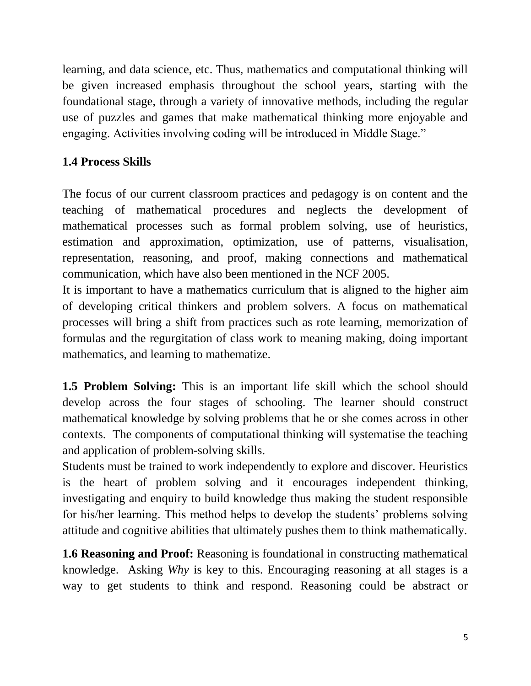learning, and data science, etc. Thus, mathematics and computational thinking will be given increased emphasis throughout the school years, starting with the foundational stage, through a variety of innovative methods, including the regular use of puzzles and games that make mathematical thinking more enjoyable and engaging. Activities involving coding will be introduced in Middle Stage."

### **1.4 Process Skills**

The focus of our current classroom practices and pedagogy is on content and the teaching of mathematical procedures and neglects the development of mathematical processes such as formal problem solving, use of heuristics, estimation and approximation, optimization, use of patterns, visualisation, representation, reasoning, and proof, making connections and mathematical communication, which have also been mentioned in the NCF 2005.

It is important to have a mathematics curriculum that is aligned to the higher aim of developing critical thinkers and problem solvers. A focus on mathematical processes will bring a shift from practices such as rote learning, memorization of formulas and the regurgitation of class work to meaning making, doing important mathematics, and learning to mathematize.

**1.5 Problem Solving:** This is an important life skill which the school should develop across the four stages of schooling. The learner should construct mathematical knowledge by solving problems that he or she comes across in other contexts. The components of computational thinking will systematise the teaching and application of problem-solving skills.

Students must be trained to work independently to explore and discover. Heuristics is the heart of problem solving and it encourages independent thinking, investigating and enquiry to build knowledge thus making the student responsible for his/her learning. This method helps to develop the students' problems solving attitude and cognitive abilities that ultimately pushes them to think mathematically.

**1.6 Reasoning and Proof:** Reasoning is foundational in constructing mathematical knowledge. Asking *Why* is key to this. Encouraging reasoning at all stages is a way to get students to think and respond. Reasoning could be abstract or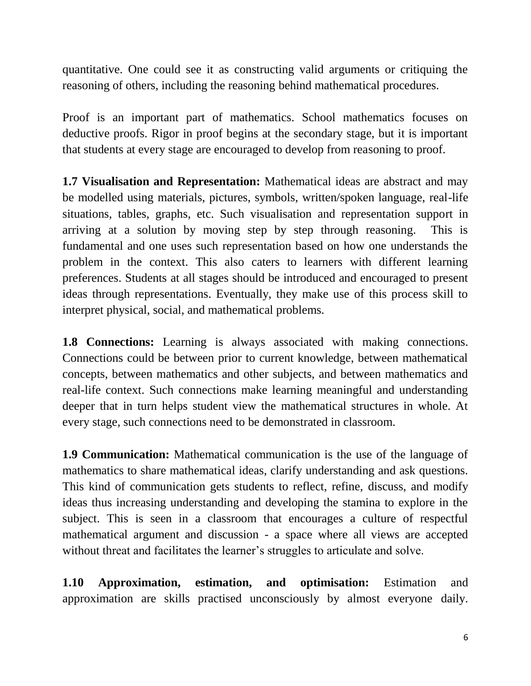quantitative. One could see it as constructing valid arguments or critiquing the reasoning of others, including the reasoning behind mathematical procedures.

Proof is an important part of mathematics. School mathematics focuses on deductive proofs. Rigor in proof begins at the secondary stage, but it is important that students at every stage are encouraged to develop from reasoning to proof.

**1.7 Visualisation and Representation:** Mathematical ideas are abstract and may be modelled using materials, pictures, symbols, written/spoken language, real-life situations, tables, graphs, etc. Such visualisation and representation support in arriving at a solution by moving step by step through reasoning. This is fundamental and one uses such representation based on how one understands the problem in the context. This also caters to learners with different learning preferences. Students at all stages should be introduced and encouraged to present ideas through representations. Eventually, they make use of this process skill to interpret physical, social, and mathematical problems.

**1.8 Connections:** Learning is always associated with making connections. Connections could be between prior to current knowledge, between mathematical concepts, between mathematics and other subjects, and between mathematics and real-life context. Such connections make learning meaningful and understanding deeper that in turn helps student view the mathematical structures in whole. At every stage, such connections need to be demonstrated in classroom.

**1.9 Communication:** Mathematical communication is the use of the language of mathematics to share mathematical ideas, clarify understanding and ask questions. This kind of communication gets students to reflect, refine, discuss, and modify ideas thus increasing understanding and developing the stamina to explore in the subject. This is seen in a classroom that encourages a culture of respectful mathematical argument and discussion - a space where all views are accepted without threat and facilitates the learner's struggles to articulate and solve.

**1.10 Approximation, estimation, and optimisation:** Estimation and approximation are skills practised unconsciously by almost everyone daily.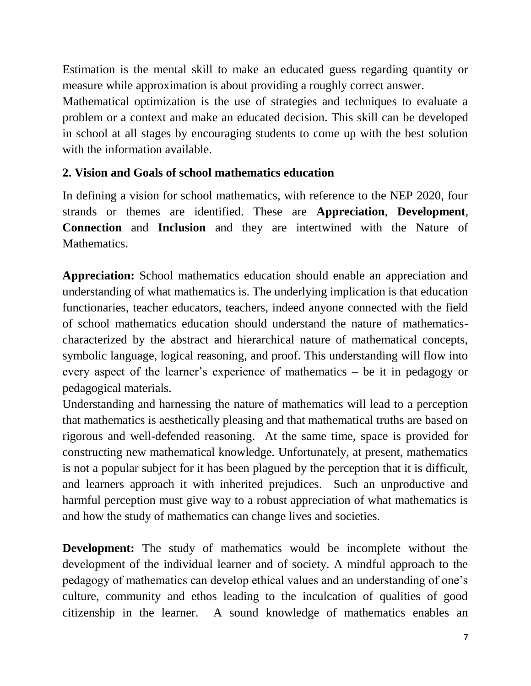Estimation is the mental skill to make an educated guess regarding quantity or measure while approximation is about providing a roughly correct answer.

Mathematical optimization is the use of strategies and techniques to evaluate a problem or a context and make an educated decision. This skill can be developed in school at all stages by encouraging students to come up with the best solution with the information available.

#### **2. Vision and Goals of school mathematics education**

In defining a vision for school mathematics, with reference to the NEP 2020, four strands or themes are identified. These are **Appreciation**, **Development**, **Connection** and **Inclusion** and they are intertwined with the Nature of Mathematics.

**Appreciation:** School mathematics education should enable an appreciation and understanding of what mathematics is. The underlying implication is that education functionaries, teacher educators, teachers, indeed anyone connected with the field of school mathematics education should understand the nature of mathematicscharacterized by the abstract and hierarchical nature of mathematical concepts, symbolic language, logical reasoning, and proof. This understanding will flow into every aspect of the learner's experience of mathematics – be it in pedagogy or pedagogical materials.

Understanding and harnessing the nature of mathematics will lead to a perception that mathematics is aesthetically pleasing and that mathematical truths are based on rigorous and well-defended reasoning. At the same time, space is provided for constructing new mathematical knowledge. Unfortunately, at present, mathematics is not a popular subject for it has been plagued by the perception that it is difficult, and learners approach it with inherited prejudices. Such an unproductive and harmful perception must give way to a robust appreciation of what mathematics is and how the study of mathematics can change lives and societies.

**Development:** The study of mathematics would be incomplete without the development of the individual learner and of society. A mindful approach to the pedagogy of mathematics can develop ethical values and an understanding of one's culture, community and ethos leading to the inculcation of qualities of good citizenship in the learner. A sound knowledge of mathematics enables an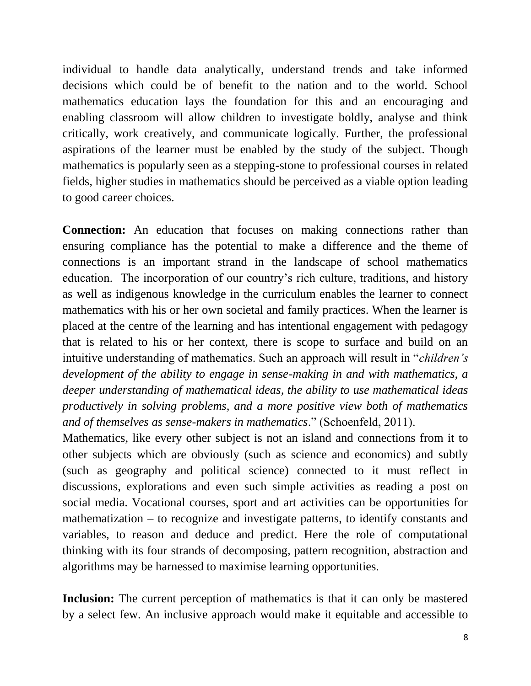individual to handle data analytically, understand trends and take informed decisions which could be of benefit to the nation and to the world. School mathematics education lays the foundation for this and an encouraging and enabling classroom will allow children to investigate boldly, analyse and think critically, work creatively, and communicate logically. Further, the professional aspirations of the learner must be enabled by the study of the subject. Though mathematics is popularly seen as a stepping-stone to professional courses in related fields, higher studies in mathematics should be perceived as a viable option leading to good career choices.

**Connection:** An education that focuses on making connections rather than ensuring compliance has the potential to make a difference and the theme of connections is an important strand in the landscape of school mathematics education. The incorporation of our country's rich culture, traditions, and history as well as indigenous knowledge in the curriculum enables the learner to connect mathematics with his or her own societal and family practices. When the learner is placed at the centre of the learning and has intentional engagement with pedagogy that is related to his or her context, there is scope to surface and build on an intuitive understanding of mathematics. Such an approach will result in "*children's development of the ability to engage in sense-making in and with mathematics, a deeper understanding of mathematical ideas, the ability to use mathematical ideas productively in solving problems, and a more positive view both of mathematics and of themselves as sense-makers in mathematics*." (Schoenfeld, 2011).

Mathematics, like every other subject is not an island and connections from it to other subjects which are obviously (such as science and economics) and subtly (such as geography and political science) connected to it must reflect in discussions, explorations and even such simple activities as reading a post on social media. Vocational courses, sport and art activities can be opportunities for mathematization – to recognize and investigate patterns, to identify constants and variables, to reason and deduce and predict. Here the role of computational thinking with its four strands of decomposing, pattern recognition, abstraction and algorithms may be harnessed to maximise learning opportunities.

**Inclusion:** The current perception of mathematics is that it can only be mastered by a select few. An inclusive approach would make it equitable and accessible to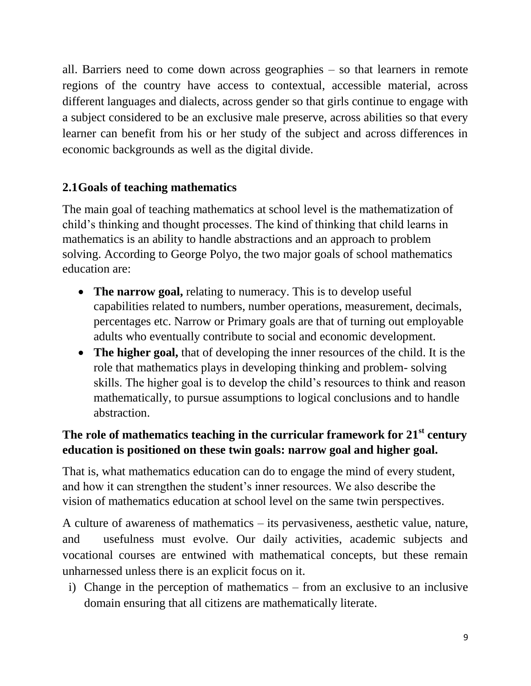all. Barriers need to come down across geographies – so that learners in remote regions of the country have access to contextual, accessible material, across different languages and dialects, across gender so that girls continue to engage with a subject considered to be an exclusive male preserve, across abilities so that every learner can benefit from his or her study of the subject and across differences in economic backgrounds as well as the digital divide.

### **2.1Goals of teaching mathematics**

The main goal of teaching mathematics at school level is the mathematization of child's thinking and thought processes. The kind of thinking that child learns in mathematics is an ability to handle abstractions and an approach to problem solving. According to George Polyo, the two major goals of school mathematics education are:

- The narrow goal, relating to numeracy. This is to develop useful capabilities related to numbers, number operations, measurement, decimals, percentages etc. Narrow or Primary goals are that of turning out employable adults who eventually contribute to social and economic development.
- **The higher goal,** that of developing the inner resources of the child. It is the role that mathematics plays in developing thinking and problem- solving skills. The higher goal is to develop the child's resources to think and reason mathematically, to pursue assumptions to logical conclusions and to handle abstraction.

### **The role of mathematics teaching in the curricular framework for 21st century education is positioned on these twin goals: narrow goal and higher goal.**

That is, what mathematics education can do to engage the mind of every student, and how it can strengthen the student's inner resources. We also describe the vision of mathematics education at school level on the same twin perspectives.

A culture of awareness of mathematics – its pervasiveness, aesthetic value, nature, and usefulness must evolve. Our daily activities, academic subjects and vocational courses are entwined with mathematical concepts, but these remain unharnessed unless there is an explicit focus on it.

i) Change in the perception of mathematics – from an exclusive to an inclusive domain ensuring that all citizens are mathematically literate.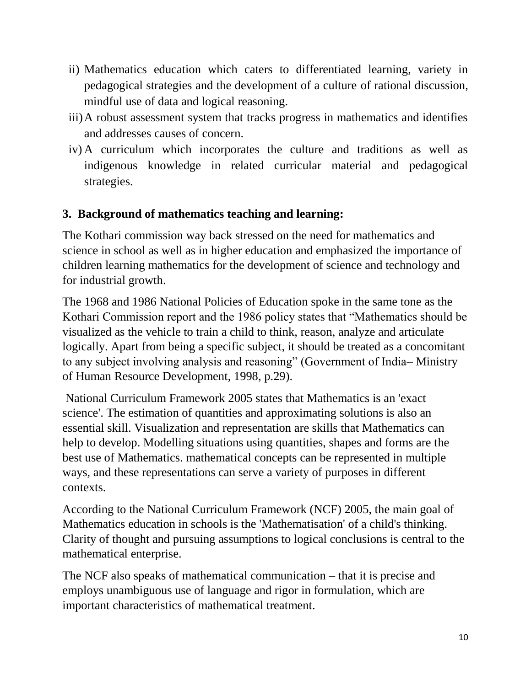- ii) Mathematics education which caters to differentiated learning, variety in pedagogical strategies and the development of a culture of rational discussion, mindful use of data and logical reasoning.
- iii)A robust assessment system that tracks progress in mathematics and identifies and addresses causes of concern.
- iv) A curriculum which incorporates the culture and traditions as well as indigenous knowledge in related curricular material and pedagogical strategies.

#### **3. Background of mathematics teaching and learning:**

The Kothari commission way back stressed on the need for mathematics and science in school as well as in higher education and emphasized the importance of children learning mathematics for the development of science and technology and for industrial growth.

The 1968 and 1986 National Policies of Education spoke in the same tone as the Kothari Commission report and the 1986 policy states that "Mathematics should be visualized as the vehicle to train a child to think, reason, analyze and articulate logically. Apart from being a specific subject, it should be treated as a concomitant to any subject involving analysis and reasoning" (Government of India– Ministry of Human Resource Development, 1998, p.29).

National Curriculum Framework 2005 states that Mathematics is an 'exact science'. The estimation of quantities and approximating solutions is also an essential skill. Visualization and representation are skills that Mathematics can help to develop. Modelling situations using quantities, shapes and forms are the best use of Mathematics. mathematical concepts can be represented in multiple ways, and these representations can serve a variety of purposes in different contexts.

According to the National Curriculum Framework (NCF) 2005, the main goal of Mathematics education in schools is the 'Mathematisation' of a child's thinking. Clarity of thought and pursuing assumptions to logical conclusions is central to the mathematical enterprise.

The NCF also speaks of mathematical communication – that it is precise and employs unambiguous use of language and rigor in formulation, which are important characteristics of mathematical treatment.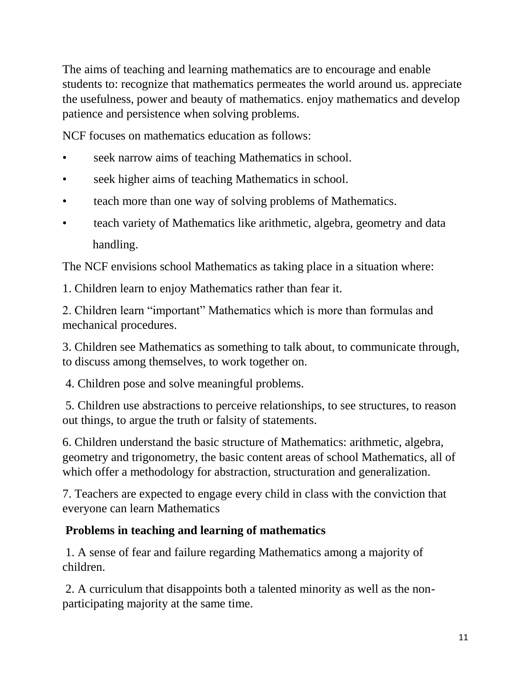The aims of teaching and learning mathematics are to encourage and enable students to: recognize that mathematics permeates the world around us. appreciate the usefulness, power and beauty of mathematics. enjoy mathematics and develop patience and persistence when solving problems.

NCF focuses on mathematics education as follows:

- seek narrow aims of teaching Mathematics in school.
- seek higher aims of teaching Mathematics in school.
- teach more than one way of solving problems of Mathematics.
- teach variety of Mathematics like arithmetic, algebra, geometry and data handling.

The NCF envisions school Mathematics as taking place in a situation where:

1. Children learn to enjoy Mathematics rather than fear it.

2. Children learn "important" Mathematics which is more than formulas and mechanical procedures.

3. Children see Mathematics as something to talk about, to communicate through, to discuss among themselves, to work together on.

4. Children pose and solve meaningful problems.

5. Children use abstractions to perceive relationships, to see structures, to reason out things, to argue the truth or falsity of statements.

6. Children understand the basic structure of Mathematics: arithmetic, algebra, geometry and trigonometry, the basic content areas of school Mathematics, all of which offer a methodology for abstraction, structuration and generalization.

7. Teachers are expected to engage every child in class with the conviction that everyone can learn Mathematics

### **Problems in teaching and learning of mathematics**

1. A sense of fear and failure regarding Mathematics among a majority of children.

2. A curriculum that disappoints both a talented minority as well as the nonparticipating majority at the same time.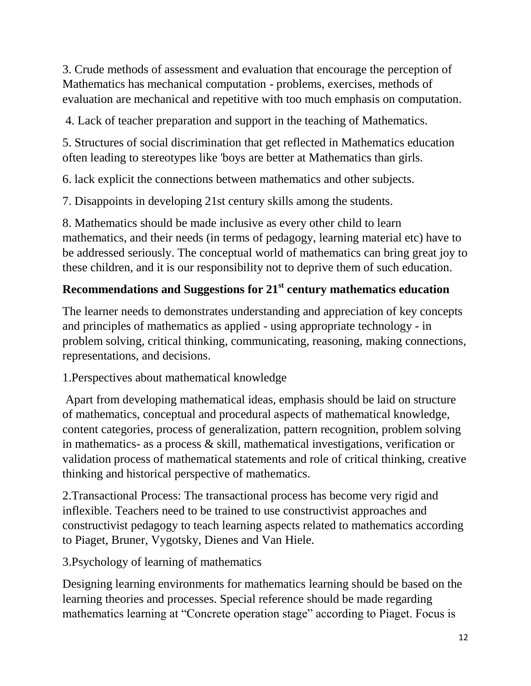3. Crude methods of assessment and evaluation that encourage the perception of Mathematics has mechanical computation - problems, exercises, methods of evaluation are mechanical and repetitive with too much emphasis on computation.

4. Lack of teacher preparation and support in the teaching of Mathematics.

5. Structures of social discrimination that get reflected in Mathematics education often leading to stereotypes like 'boys are better at Mathematics than girls.

6. lack explicit the connections between mathematics and other subjects.

7. Disappoints in developing 21st century skills among the students.

8. Mathematics should be made inclusive as every other child to learn mathematics, and their needs (in terms of pedagogy, learning material etc) have to be addressed seriously. The conceptual world of mathematics can bring great joy to these children, and it is our responsibility not to deprive them of such education.

# **Recommendations and Suggestions for 21st century mathematics education**

The learner needs to demonstrates understanding and appreciation of key concepts and principles of mathematics as applied - using appropriate technology - in problem solving, critical thinking, communicating, reasoning, making connections, representations, and decisions.

1.Perspectives about mathematical knowledge

Apart from developing mathematical ideas, emphasis should be laid on structure of mathematics, conceptual and procedural aspects of mathematical knowledge, content categories, process of generalization, pattern recognition, problem solving in mathematics- as a process & skill, mathematical investigations, verification or validation process of mathematical statements and role of critical thinking, creative thinking and historical perspective of mathematics.

2.Transactional Process: The transactional process has become very rigid and inflexible. Teachers need to be trained to use constructivist approaches and constructivist pedagogy to teach learning aspects related to mathematics according to Piaget, Bruner, Vygotsky, Dienes and Van Hiele.

3.Psychology of learning of mathematics

Designing learning environments for mathematics learning should be based on the learning theories and processes. Special reference should be made regarding mathematics learning at "Concrete operation stage" according to Piaget. Focus is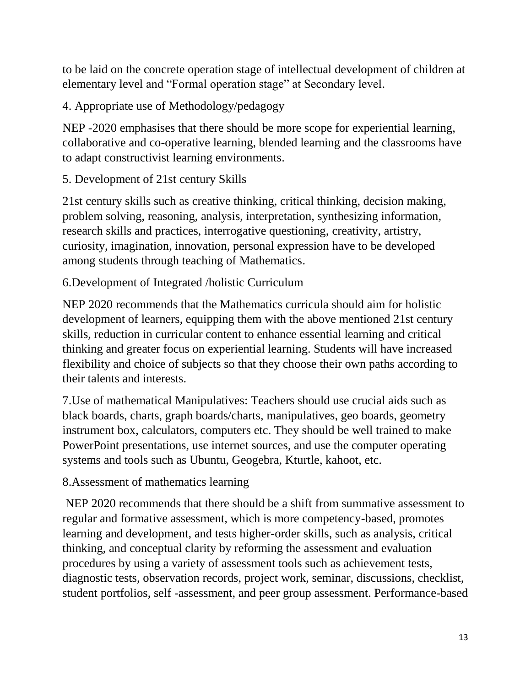to be laid on the concrete operation stage of intellectual development of children at elementary level and "Formal operation stage" at Secondary level.

4. Appropriate use of Methodology/pedagogy

NEP -2020 emphasises that there should be more scope for experiential learning, collaborative and co-operative learning, blended learning and the classrooms have to adapt constructivist learning environments.

5. Development of 21st century Skills

21st century skills such as creative thinking, critical thinking, decision making, problem solving, reasoning, analysis, interpretation, synthesizing information, research skills and practices, interrogative questioning, creativity, artistry, curiosity, imagination, innovation, personal expression have to be developed among students through teaching of Mathematics.

6.Development of Integrated /holistic Curriculum

NEP 2020 recommends that the Mathematics curricula should aim for holistic development of learners, equipping them with the above mentioned 21st century skills, reduction in curricular content to enhance essential learning and critical thinking and greater focus on experiential learning. Students will have increased flexibility and choice of subjects so that they choose their own paths according to their talents and interests.

7.Use of mathematical Manipulatives: Teachers should use crucial aids such as black boards, charts, graph boards/charts, manipulatives, geo boards, geometry instrument box, calculators, computers etc. They should be well trained to make PowerPoint presentations, use internet sources, and use the computer operating systems and tools such as Ubuntu, Geogebra, Kturtle, kahoot, etc.

8.Assessment of mathematics learning

NEP 2020 recommends that there should be a shift from summative assessment to regular and formative assessment, which is more competency-based, promotes learning and development, and tests higher-order skills, such as analysis, critical thinking, and conceptual clarity by reforming the assessment and evaluation procedures by using a variety of assessment tools such as achievement tests, diagnostic tests, observation records, project work, seminar, discussions, checklist, student portfolios, self -assessment, and peer group assessment. Performance-based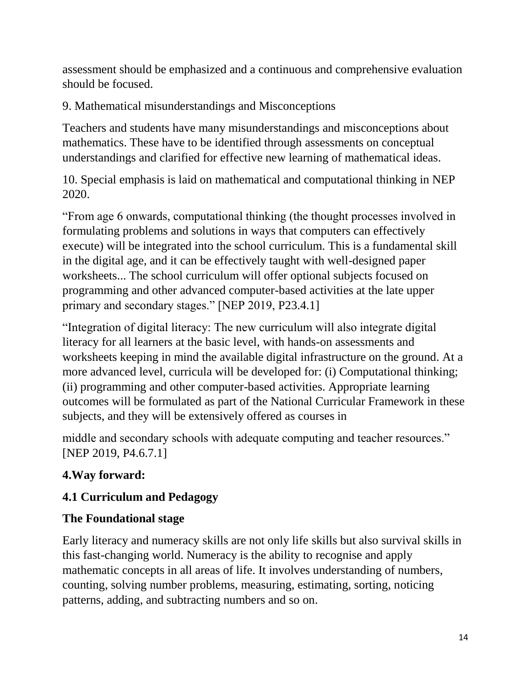assessment should be emphasized and a continuous and comprehensive evaluation should be focused.

9. Mathematical misunderstandings and Misconceptions

Teachers and students have many misunderstandings and misconceptions about mathematics. These have to be identified through assessments on conceptual understandings and clarified for effective new learning of mathematical ideas.

10. Special emphasis is laid on mathematical and computational thinking in NEP 2020.

"From age 6 onwards, computational thinking (the thought processes involved in formulating problems and solutions in ways that computers can effectively execute) will be integrated into the school curriculum. This is a fundamental skill in the digital age, and it can be effectively taught with well-designed paper worksheets... The school curriculum will offer optional subjects focused on programming and other advanced computer-based activities at the late upper primary and secondary stages." [NEP 2019, P23.4.1]

"Integration of digital literacy: The new curriculum will also integrate digital literacy for all learners at the basic level, with hands-on assessments and worksheets keeping in mind the available digital infrastructure on the ground. At a more advanced level, curricula will be developed for: (i) Computational thinking; (ii) programming and other computer-based activities. Appropriate learning outcomes will be formulated as part of the National Curricular Framework in these subjects, and they will be extensively offered as courses in

middle and secondary schools with adequate computing and teacher resources." [NEP 2019, P4.6.7.1]

# **4.Way forward:**

# **4.1 Curriculum and Pedagogy**

# **The Foundational stage**

Early literacy and numeracy skills are not only life skills but also survival skills in this fast-changing world. Numeracy is the ability to recognise and apply mathematic concepts in all areas of life. It involves understanding of numbers, counting, solving number problems, measuring, estimating, sorting, noticing patterns, adding, and subtracting numbers and so on.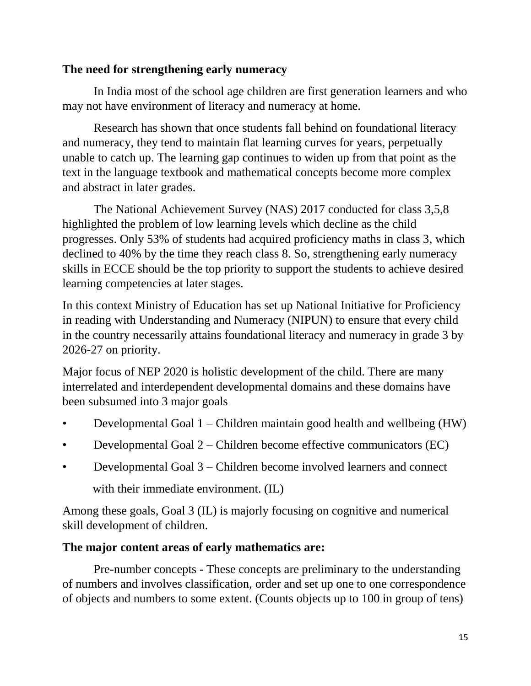#### **The need for strengthening early numeracy**

In India most of the school age children are first generation learners and who may not have environment of literacy and numeracy at home.

Research has shown that once students fall behind on foundational literacy and numeracy, they tend to maintain flat learning curves for years, perpetually unable to catch up. The learning gap continues to widen up from that point as the text in the language textbook and mathematical concepts become more complex and abstract in later grades.

The National Achievement Survey (NAS) 2017 conducted for class 3,5,8 highlighted the problem of low learning levels which decline as the child progresses. Only 53% of students had acquired proficiency maths in class 3, which declined to 40% by the time they reach class 8. So, strengthening early numeracy skills in ECCE should be the top priority to support the students to achieve desired learning competencies at later stages.

In this context Ministry of Education has set up National Initiative for Proficiency in reading with Understanding and Numeracy (NIPUN) to ensure that every child in the country necessarily attains foundational literacy and numeracy in grade 3 by 2026-27 on priority.

Major focus of NEP 2020 is holistic development of the child. There are many interrelated and interdependent developmental domains and these domains have been subsumed into 3 major goals

- Developmental Goal 1 Children maintain good health and wellbeing (HW)
- Developmental Goal 2 Children become effective communicators (EC)
- Developmental Goal 3 Children become involved learners and connect with their immediate environment. (IL)

Among these goals, Goal 3 (IL) is majorly focusing on cognitive and numerical skill development of children.

#### **The major content areas of early mathematics are:**

Pre-number concepts - These concepts are preliminary to the understanding of numbers and involves classification, order and set up one to one correspondence of objects and numbers to some extent. (Counts objects up to 100 in group of tens)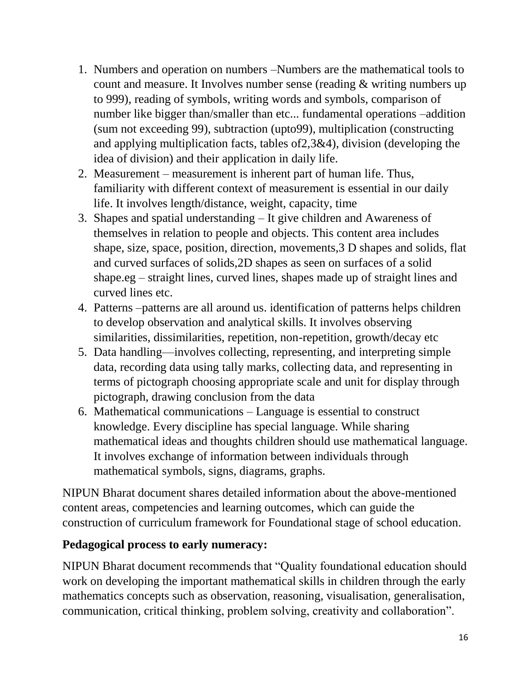- 1. Numbers and operation on numbers –Numbers are the mathematical tools to count and measure. It Involves number sense (reading & writing numbers up to 999), reading of symbols, writing words and symbols, comparison of number like bigger than/smaller than etc... fundamental operations –addition (sum not exceeding 99), subtraction (upto99), multiplication (constructing and applying multiplication facts, tables of2,3&4), division (developing the idea of division) and their application in daily life.
- 2. Measurement measurement is inherent part of human life. Thus, familiarity with different context of measurement is essential in our daily life. It involves length/distance, weight, capacity, time
- 3. Shapes and spatial understanding It give children and Awareness of themselves in relation to people and objects. This content area includes shape, size, space, position, direction, movements,3 D shapes and solids, flat and curved surfaces of solids,2D shapes as seen on surfaces of a solid shape.eg – straight lines, curved lines, shapes made up of straight lines and curved lines etc.
- 4. Patterns –patterns are all around us. identification of patterns helps children to develop observation and analytical skills. It involves observing similarities, dissimilarities, repetition, non-repetition, growth/decay etc
- 5. Data handling—involves collecting, representing, and interpreting simple data, recording data using tally marks, collecting data, and representing in terms of pictograph choosing appropriate scale and unit for display through pictograph, drawing conclusion from the data
- 6. Mathematical communications Language is essential to construct knowledge. Every discipline has special language. While sharing mathematical ideas and thoughts children should use mathematical language. It involves exchange of information between individuals through mathematical symbols, signs, diagrams, graphs.

NIPUN Bharat document shares detailed information about the above-mentioned content areas, competencies and learning outcomes, which can guide the construction of curriculum framework for Foundational stage of school education.

#### **Pedagogical process to early numeracy:**

NIPUN Bharat document recommends that "Quality foundational education should work on developing the important mathematical skills in children through the early mathematics concepts such as observation, reasoning, visualisation, generalisation, communication, critical thinking, problem solving, creativity and collaboration".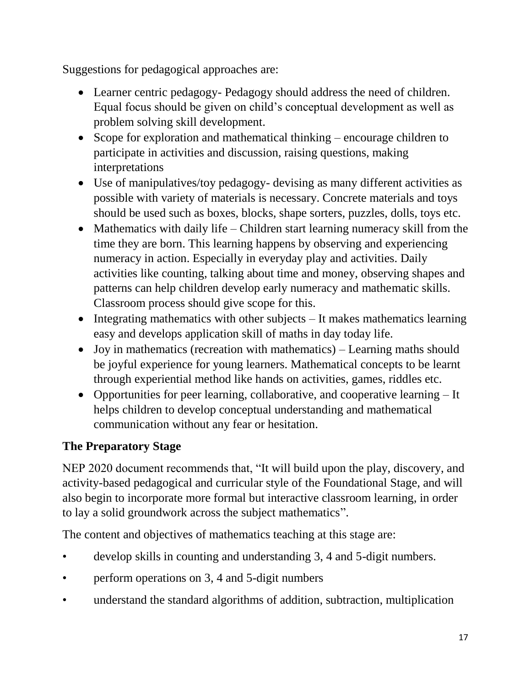Suggestions for pedagogical approaches are:

- Learner centric pedagogy- Pedagogy should address the need of children. Equal focus should be given on child's conceptual development as well as problem solving skill development.
- Scope for exploration and mathematical thinking encourage children to participate in activities and discussion, raising questions, making interpretations
- Use of manipulatives/toy pedagogy- devising as many different activities as possible with variety of materials is necessary. Concrete materials and toys should be used such as boxes, blocks, shape sorters, puzzles, dolls, toys etc.
- Mathematics with daily life Children start learning numeracy skill from the time they are born. This learning happens by observing and experiencing numeracy in action. Especially in everyday play and activities. Daily activities like counting, talking about time and money, observing shapes and patterns can help children develop early numeracy and mathematic skills. Classroom process should give scope for this.
- $\bullet$  Integrating mathematics with other subjects It makes mathematics learning easy and develops application skill of maths in day today life.
- Joy in mathematics (recreation with mathematics) Learning maths should be joyful experience for young learners. Mathematical concepts to be learnt through experiential method like hands on activities, games, riddles etc.
- Opportunities for peer learning, collaborative, and cooperative learning It helps children to develop conceptual understanding and mathematical communication without any fear or hesitation.

# **The Preparatory Stage**

NEP 2020 document recommends that, "It will build upon the play, discovery, and activity-based pedagogical and curricular style of the Foundational Stage, and will also begin to incorporate more formal but interactive classroom learning, in order to lay a solid groundwork across the subject mathematics".

The content and objectives of mathematics teaching at this stage are:

- develop skills in counting and understanding 3, 4 and 5-digit numbers.
- perform operations on 3, 4 and 5-digit numbers
- understand the standard algorithms of addition, subtraction, multiplication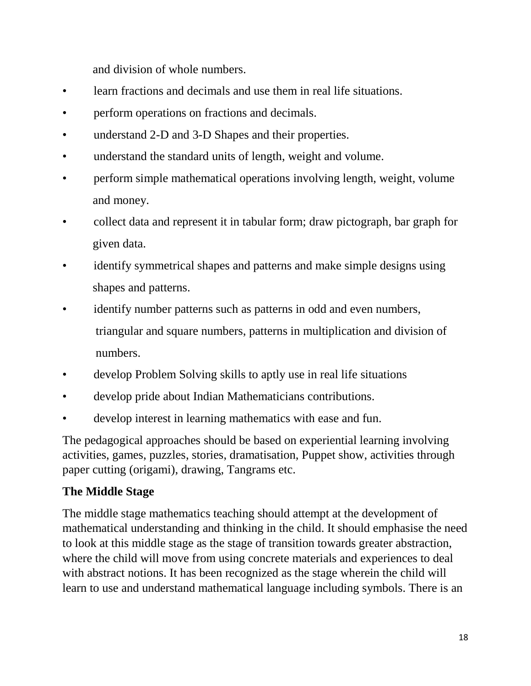and division of whole numbers.

- learn fractions and decimals and use them in real life situations.
- perform operations on fractions and decimals.
- understand 2-D and 3-D Shapes and their properties.
- understand the standard units of length, weight and volume.
- perform simple mathematical operations involving length, weight, volume and money.
- collect data and represent it in tabular form; draw pictograph, bar graph for given data.
- identify symmetrical shapes and patterns and make simple designs using shapes and patterns.
- identify number patterns such as patterns in odd and even numbers, triangular and square numbers, patterns in multiplication and division of numbers.
- develop Problem Solving skills to aptly use in real life situations
- develop pride about Indian Mathematicians contributions.
- develop interest in learning mathematics with ease and fun.

The pedagogical approaches should be based on experiential learning involving activities, games, puzzles, stories, dramatisation, Puppet show, activities through paper cutting (origami), drawing, Tangrams etc.

### **The Middle Stage**

The middle stage mathematics teaching should attempt at the development of mathematical understanding and thinking in the child. It should emphasise the need to look at this middle stage as the stage of transition towards greater abstraction, where the child will move from using concrete materials and experiences to deal with abstract notions. It has been recognized as the stage wherein the child will learn to use and understand mathematical language including symbols. There is an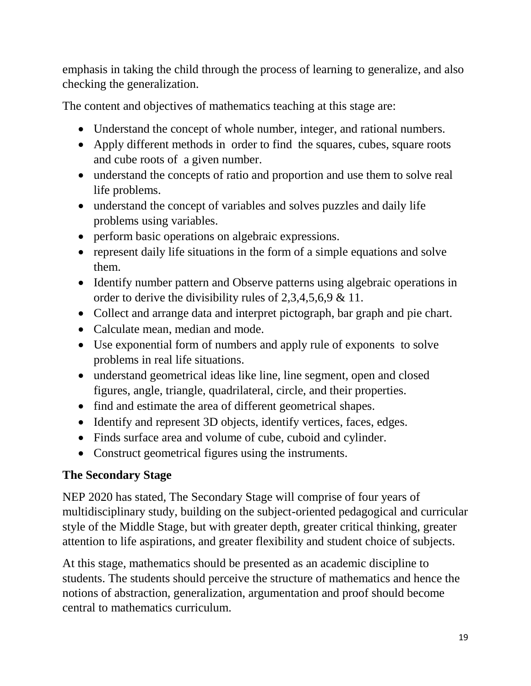emphasis in taking the child through the process of learning to generalize, and also checking the generalization.

The content and objectives of mathematics teaching at this stage are:

- Understand the concept of whole number, integer, and rational numbers.
- Apply different methods in order to find the squares, cubes, square roots and cube roots of a given number.
- understand the concepts of ratio and proportion and use them to solve real life problems.
- understand the concept of variables and solves puzzles and daily life problems using variables.
- perform basic operations on algebraic expressions.
- represent daily life situations in the form of a simple equations and solve them.
- Identify number pattern and Observe patterns using algebraic operations in order to derive the divisibility rules of 2,3,4,5,6,9 & 11.
- Collect and arrange data and interpret pictograph, bar graph and pie chart.
- Calculate mean, median and mode.
- Use exponential form of numbers and apply rule of exponents to solve problems in real life situations.
- understand geometrical ideas like line, line segment, open and closed figures, angle, triangle, quadrilateral, circle, and their properties.
- find and estimate the area of different geometrical shapes.
- Identify and represent 3D objects, identify vertices, faces, edges.
- Finds surface area and volume of cube, cuboid and cylinder.
- Construct geometrical figures using the instruments.

# **The Secondary Stage**

NEP 2020 has stated, The Secondary Stage will comprise of four years of multidisciplinary study, building on the subject-oriented pedagogical and curricular style of the Middle Stage, but with greater depth, greater critical thinking, greater attention to life aspirations, and greater flexibility and student choice of subjects.

At this stage, mathematics should be presented as an academic discipline to students. The students should perceive the structure of mathematics and hence the notions of abstraction, generalization, argumentation and proof should become central to mathematics curriculum.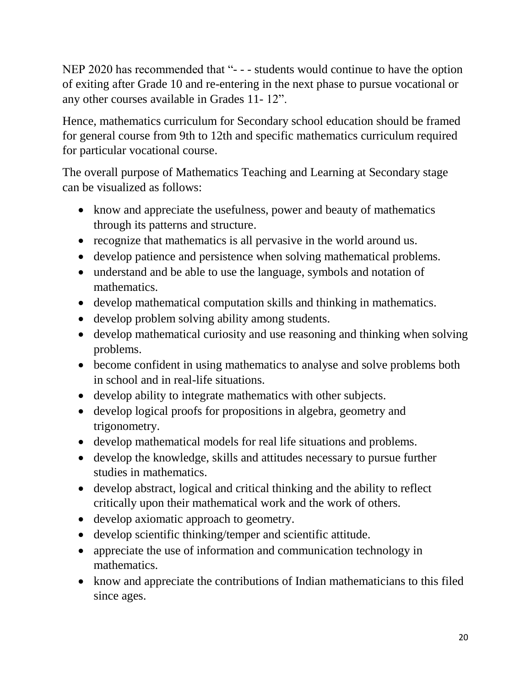NEP 2020 has recommended that "- - - students would continue to have the option of exiting after Grade 10 and re-entering in the next phase to pursue vocational or any other courses available in Grades 11- 12".

Hence, mathematics curriculum for Secondary school education should be framed for general course from 9th to 12th and specific mathematics curriculum required for particular vocational course.

The overall purpose of Mathematics Teaching and Learning at Secondary stage can be visualized as follows:

- know and appreciate the usefulness, power and beauty of mathematics through its patterns and structure.
- recognize that mathematics is all pervasive in the world around us.
- develop patience and persistence when solving mathematical problems.
- understand and be able to use the language, symbols and notation of mathematics.
- develop mathematical computation skills and thinking in mathematics.
- develop problem solving ability among students.
- develop mathematical curiosity and use reasoning and thinking when solving problems.
- become confident in using mathematics to analyse and solve problems both in school and in real-life situations.
- develop ability to integrate mathematics with other subjects.
- develop logical proofs for propositions in algebra, geometry and trigonometry.
- develop mathematical models for real life situations and problems.
- develop the knowledge, skills and attitudes necessary to pursue further studies in mathematics.
- develop abstract, logical and critical thinking and the ability to reflect critically upon their mathematical work and the work of others.
- develop axiomatic approach to geometry.
- develop scientific thinking/temper and scientific attitude.
- appreciate the use of information and communication technology in mathematics.
- know and appreciate the contributions of Indian mathematicians to this filed since ages.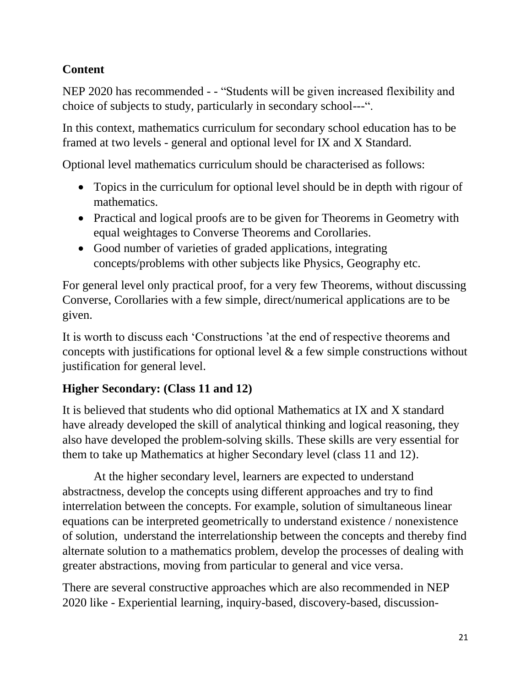### **Content**

NEP 2020 has recommended - - "Students will be given increased flexibility and choice of subjects to study, particularly in secondary school---".

In this context, mathematics curriculum for secondary school education has to be framed at two levels - general and optional level for IX and X Standard.

Optional level mathematics curriculum should be characterised as follows:

- Topics in the curriculum for optional level should be in depth with rigour of mathematics.
- Practical and logical proofs are to be given for Theorems in Geometry with equal weightages to Converse Theorems and Corollaries.
- Good number of varieties of graded applications, integrating concepts/problems with other subjects like Physics, Geography etc.

For general level only practical proof, for a very few Theorems, without discussing Converse, Corollaries with a few simple, direct/numerical applications are to be given.

It is worth to discuss each 'Constructions 'at the end of respective theorems and concepts with justifications for optional level & a few simple constructions without justification for general level.

### **Higher Secondary: (Class 11 and 12)**

It is believed that students who did optional Mathematics at IX and X standard have already developed the skill of analytical thinking and logical reasoning, they also have developed the problem-solving skills. These skills are very essential for them to take up Mathematics at higher Secondary level (class 11 and 12).

At the higher secondary level, learners are expected to understand abstractness, develop the concepts using different approaches and try to find interrelation between the concepts. For example, solution of simultaneous linear equations can be interpreted geometrically to understand existence / nonexistence of solution, understand the interrelationship between the concepts and thereby find alternate solution to a mathematics problem, develop the processes of dealing with greater abstractions, moving from particular to general and vice versa.

There are several constructive approaches which are also recommended in NEP 2020 like - Experiential learning, inquiry-based, discovery-based, discussion-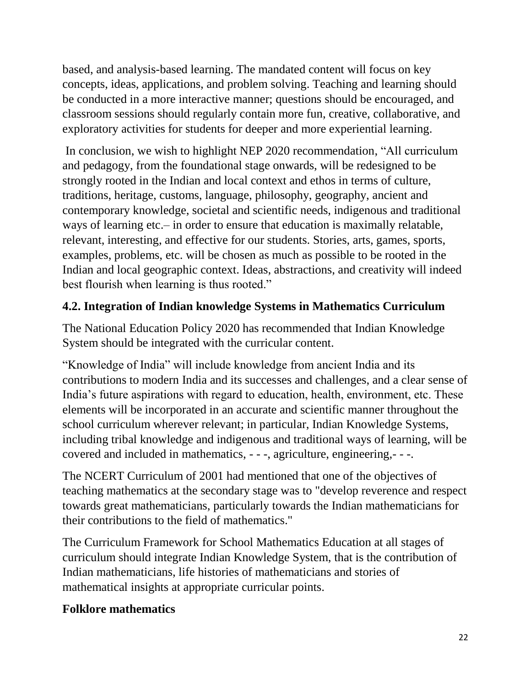based, and analysis-based learning. The mandated content will focus on key concepts, ideas, applications, and problem solving. Teaching and learning should be conducted in a more interactive manner; questions should be encouraged, and classroom sessions should regularly contain more fun, creative, collaborative, and exploratory activities for students for deeper and more experiential learning.

In conclusion, we wish to highlight NEP 2020 recommendation, "All curriculum and pedagogy, from the foundational stage onwards, will be redesigned to be strongly rooted in the Indian and local context and ethos in terms of culture, traditions, heritage, customs, language, philosophy, geography, ancient and contemporary knowledge, societal and scientific needs, indigenous and traditional ways of learning etc.– in order to ensure that education is maximally relatable, relevant, interesting, and effective for our students. Stories, arts, games, sports, examples, problems, etc. will be chosen as much as possible to be rooted in the Indian and local geographic context. Ideas, abstractions, and creativity will indeed best flourish when learning is thus rooted."

# **4.2. Integration of Indian knowledge Systems in Mathematics Curriculum**

The National Education Policy 2020 has recommended that Indian Knowledge System should be integrated with the curricular content.

"Knowledge of India" will include knowledge from ancient India and its contributions to modern India and its successes and challenges, and a clear sense of India's future aspirations with regard to education, health, environment, etc. These elements will be incorporated in an accurate and scientific manner throughout the school curriculum wherever relevant; in particular, Indian Knowledge Systems, including tribal knowledge and indigenous and traditional ways of learning, will be covered and included in mathematics, - - -, agriculture, engineering,- - -.

The NCERT Curriculum of 2001 had mentioned that one of the objectives of teaching mathematics at the secondary stage was to "develop reverence and respect towards great mathematicians, particularly towards the Indian mathematicians for their contributions to the field of mathematics."

The Curriculum Framework for School Mathematics Education at all stages of curriculum should integrate Indian Knowledge System, that is the contribution of Indian mathematicians, life histories of mathematicians and stories of mathematical insights at appropriate curricular points.

# **Folklore mathematics**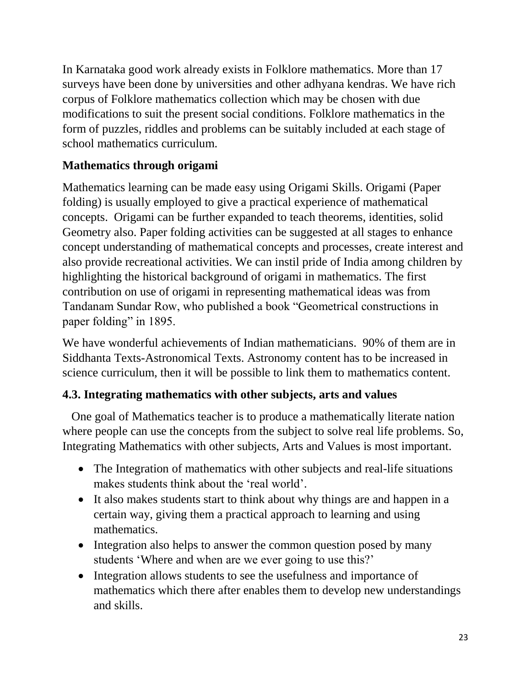In Karnataka good work already exists in Folklore mathematics. More than 17 surveys have been done by universities and other adhyana kendras. We have rich corpus of Folklore mathematics collection which may be chosen with due modifications to suit the present social conditions. Folklore mathematics in the form of puzzles, riddles and problems can be suitably included at each stage of school mathematics curriculum.

### **Mathematics through origami**

Mathematics learning can be made easy using Origami Skills. Origami (Paper folding) is usually employed to give a practical experience of mathematical concepts. Origami can be further expanded to teach theorems, identities, solid Geometry also. Paper folding activities can be suggested at all stages to enhance concept understanding of mathematical concepts and processes, create interest and also provide recreational activities. We can instil pride of India among children by highlighting the historical background of origami in mathematics. The first contribution on use of origami in representing mathematical ideas was from Tandanam Sundar Row, who published a book "Geometrical constructions in paper folding" in 1895.

We have wonderful achievements of Indian mathematicians. 90% of them are in Siddhanta Texts-Astronomical Texts. Astronomy content has to be increased in science curriculum, then it will be possible to link them to mathematics content.

# **4.3. Integrating mathematics with other subjects, arts and values**

 One goal of Mathematics teacher is to produce a mathematically literate nation where people can use the concepts from the subject to solve real life problems. So, Integrating Mathematics with other subjects, Arts and Values is most important.

- The Integration of mathematics with other subjects and real-life situations makes students think about the 'real world'.
- It also makes students start to think about why things are and happen in a certain way, giving them a practical approach to learning and using mathematics.
- Integration also helps to answer the common question posed by many students 'Where and when are we ever going to use this?'
- Integration allows students to see the usefulness and importance of mathematics which there after enables them to develop new understandings and skills.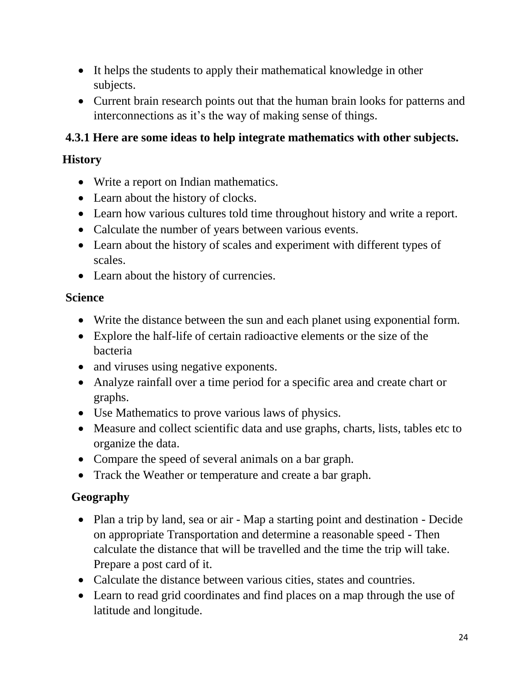- It helps the students to apply their mathematical knowledge in other subjects.
- Current brain research points out that the human brain looks for patterns and interconnections as it's the way of making sense of things.

# **4.3.1 Here are some ideas to help integrate mathematics with other subjects.**

### **History**

- Write a report on Indian mathematics.
- Learn about the history of clocks.
- Learn how various cultures told time throughout history and write a report.
- Calculate the number of years between various events.
- Learn about the history of scales and experiment with different types of scales.
- Learn about the history of currencies.

### **Science**

- Write the distance between the sun and each planet using exponential form.
- Explore the half-life of certain radioactive elements or the size of the bacteria
- and viruses using negative exponents.
- Analyze rainfall over a time period for a specific area and create chart or graphs.
- Use Mathematics to prove various laws of physics.
- Measure and collect scientific data and use graphs, charts, lists, tables etc to organize the data.
- Compare the speed of several animals on a bar graph.
- Track the Weather or temperature and create a bar graph.

# **Geography**

- Plan a trip by land, sea or air Map a starting point and destination Decide on appropriate Transportation and determine a reasonable speed - Then calculate the distance that will be travelled and the time the trip will take. Prepare a post card of it.
- Calculate the distance between various cities, states and countries.
- Learn to read grid coordinates and find places on a map through the use of latitude and longitude.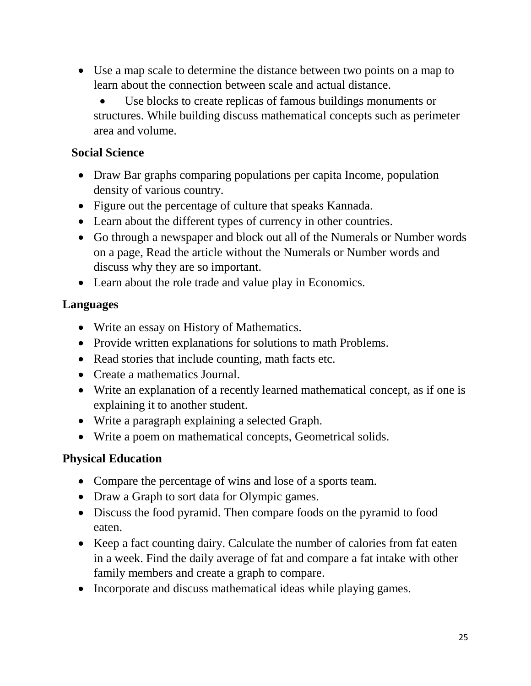- Use a map scale to determine the distance between two points on a map to learn about the connection between scale and actual distance.
	- Use blocks to create replicas of famous buildings monuments or structures. While building discuss mathematical concepts such as perimeter area and volume.

#### **Social Science**

- Draw Bar graphs comparing populations per capita Income, population density of various country.
- Figure out the percentage of culture that speaks Kannada.
- Learn about the different types of currency in other countries.
- Go through a newspaper and block out all of the Numerals or Number words on a page, Read the article without the Numerals or Number words and discuss why they are so important.
- Learn about the role trade and value play in Economics.

### **Languages**

- Write an essay on History of Mathematics.
- Provide written explanations for solutions to math Problems.
- Read stories that include counting, math facts etc.
- Create a mathematics Journal.
- Write an explanation of a recently learned mathematical concept, as if one is explaining it to another student.
- Write a paragraph explaining a selected Graph.
- Write a poem on mathematical concepts, Geometrical solids.

# **Physical Education**

- Compare the percentage of wins and lose of a sports team.
- Draw a Graph to sort data for Olympic games.
- Discuss the food pyramid. Then compare foods on the pyramid to food eaten.
- Keep a fact counting dairy. Calculate the number of calories from fat eaten in a week. Find the daily average of fat and compare a fat intake with other family members and create a graph to compare.
- Incorporate and discuss mathematical ideas while playing games.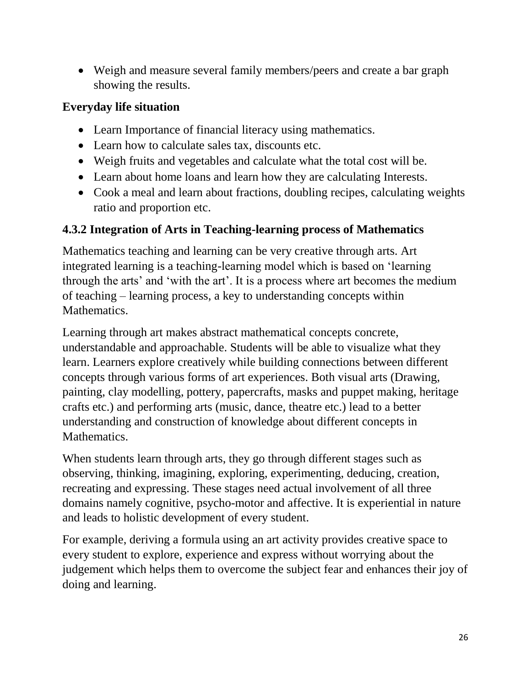• Weigh and measure several family members/peers and create a bar graph showing the results.

### **Everyday life situation**

- Learn Importance of financial literacy using mathematics.
- Learn how to calculate sales tax, discounts etc.
- Weigh fruits and vegetables and calculate what the total cost will be.
- Learn about home loans and learn how they are calculating Interests.
- Cook a meal and learn about fractions, doubling recipes, calculating weights ratio and proportion etc.

#### **4.3.2 Integration of Arts in Teaching-learning process of Mathematics**

Mathematics teaching and learning can be very creative through arts. Art integrated learning is a teaching-learning model which is based on 'learning through the arts' and 'with the art'. It is a process where art becomes the medium of teaching – learning process, a key to understanding concepts within Mathematics.

Learning through art makes abstract mathematical concepts concrete, understandable and approachable. Students will be able to visualize what they learn. Learners explore creatively while building connections between different concepts through various forms of art experiences. Both visual arts (Drawing, painting, clay modelling, pottery, papercrafts, masks and puppet making, heritage crafts etc.) and performing arts (music, dance, theatre etc.) lead to a better understanding and construction of knowledge about different concepts in Mathematics.

When students learn through arts, they go through different stages such as observing, thinking, imagining, exploring, experimenting, deducing, creation, recreating and expressing. These stages need actual involvement of all three domains namely cognitive, psycho-motor and affective. It is experiential in nature and leads to holistic development of every student.

For example, deriving a formula using an art activity provides creative space to every student to explore, experience and express without worrying about the judgement which helps them to overcome the subject fear and enhances their joy of doing and learning.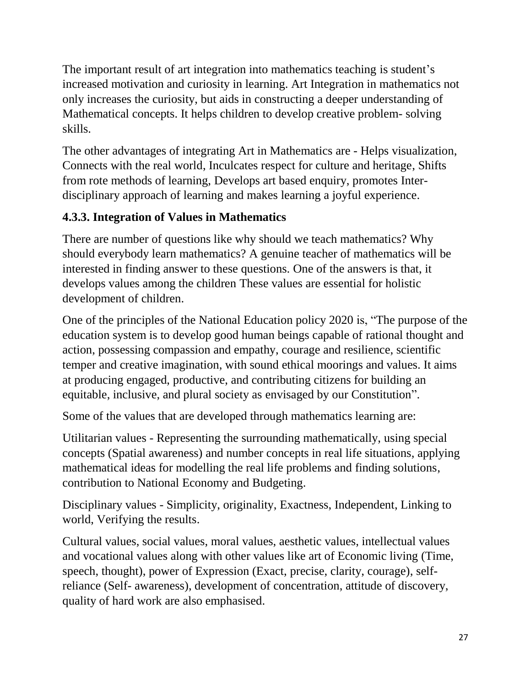The important result of art integration into mathematics teaching is student's increased motivation and curiosity in learning. Art Integration in mathematics not only increases the curiosity, but aids in constructing a deeper understanding of Mathematical concepts. It helps children to develop creative problem- solving skills.

The other advantages of integrating Art in Mathematics are - Helps visualization, Connects with the real world, Inculcates respect for culture and heritage, Shifts from rote methods of learning, Develops art based enquiry, promotes Interdisciplinary approach of learning and makes learning a joyful experience.

# **4.3.3. Integration of Values in Mathematics**

There are number of questions like why should we teach mathematics? Why should everybody learn mathematics? A genuine teacher of mathematics will be interested in finding answer to these questions. One of the answers is that, it develops values among the children These values are essential for holistic development of children.

One of the principles of the National Education policy 2020 is, "The purpose of the education system is to develop good human beings capable of rational thought and action, possessing compassion and empathy, courage and resilience, scientific temper and creative imagination, with sound ethical moorings and values. It aims at producing engaged, productive, and contributing citizens for building an equitable, inclusive, and plural society as envisaged by our Constitution".

Some of the values that are developed through mathematics learning are:

Utilitarian values - Representing the surrounding mathematically, using special concepts (Spatial awareness) and number concepts in real life situations, applying mathematical ideas for modelling the real life problems and finding solutions, contribution to National Economy and Budgeting.

Disciplinary values - Simplicity, originality, Exactness, Independent, Linking to world, Verifying the results.

Cultural values, social values, moral values, aesthetic values, intellectual values and vocational values along with other values like art of Economic living (Time, speech, thought), power of Expression (Exact, precise, clarity, courage), selfreliance (Self- awareness), development of concentration, attitude of discovery, quality of hard work are also emphasised.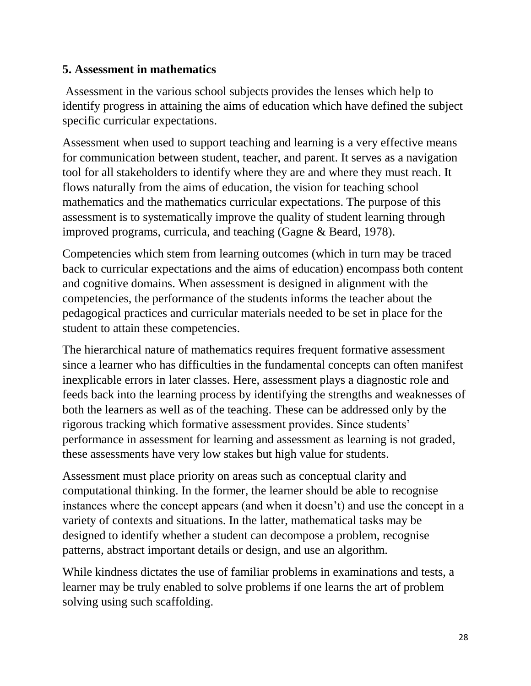#### **5. Assessment in mathematics**

Assessment in the various school subjects provides the lenses which help to identify progress in attaining the aims of education which have defined the subject specific curricular expectations.

Assessment when used to support teaching and learning is a very effective means for communication between student, teacher, and parent. It serves as a navigation tool for all stakeholders to identify where they are and where they must reach. It flows naturally from the aims of education, the vision for teaching school mathematics and the mathematics curricular expectations. The purpose of this assessment is to systematically improve the quality of student learning through improved programs, curricula, and teaching (Gagne & Beard, 1978).

Competencies which stem from learning outcomes (which in turn may be traced back to curricular expectations and the aims of education) encompass both content and cognitive domains. When assessment is designed in alignment with the competencies, the performance of the students informs the teacher about the pedagogical practices and curricular materials needed to be set in place for the student to attain these competencies.

The hierarchical nature of mathematics requires frequent formative assessment since a learner who has difficulties in the fundamental concepts can often manifest inexplicable errors in later classes. Here, assessment plays a diagnostic role and feeds back into the learning process by identifying the strengths and weaknesses of both the learners as well as of the teaching. These can be addressed only by the rigorous tracking which formative assessment provides. Since students' performance in assessment for learning and assessment as learning is not graded, these assessments have very low stakes but high value for students.

Assessment must place priority on areas such as conceptual clarity and computational thinking. In the former, the learner should be able to recognise instances where the concept appears (and when it doesn't) and use the concept in a variety of contexts and situations. In the latter, mathematical tasks may be designed to identify whether a student can decompose a problem, recognise patterns, abstract important details or design, and use an algorithm.

While kindness dictates the use of familiar problems in examinations and tests, a learner may be truly enabled to solve problems if one learns the art of problem solving using such scaffolding.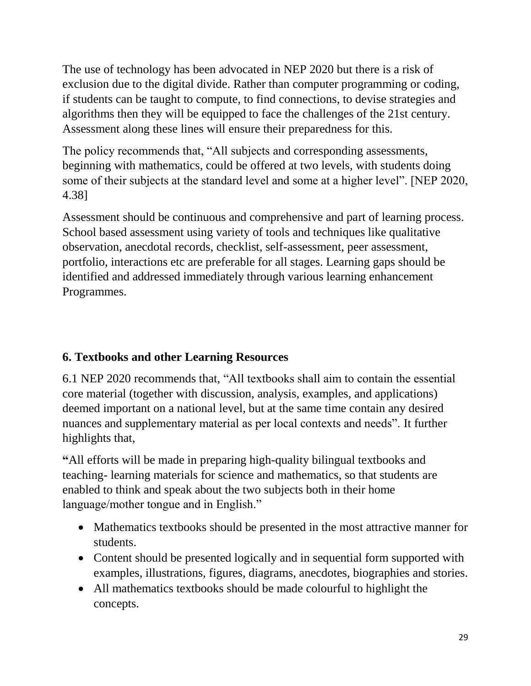The use of technology has been advocated in NEP 2020 but there is a risk of exclusion due to the digital divide. Rather than computer programming or coding, if students can be taught to compute, to find connections, to devise strategies and algorithms then they will be equipped to face the challenges of the 21st century. Assessment along these lines will ensure their preparedness for this.

The policy recommends that, "All subjects and corresponding assessments, beginning with mathematics, could be offered at two levels, with students doing some of their subjects at the standard level and some at a higher level". [NEP 2020, 4.38]

Assessment should be continuous and comprehensive and part of learning process. School based assessment using variety of tools and techniques like qualitative observation, anecdotal records, checklist, self-assessment, peer assessment, portfolio, interactions etc are preferable for all stages. Learning gaps should be identified and addressed immediately through various learning enhancement Programmes.

# **6. Textbooks and other Learning Resources**

6.1 NEP 2020 recommends that, "All textbooks shall aim to contain the essential core material (together with discussion, analysis, examples, and applications) deemed important on a national level, but at the same time contain any desired nuances and supplementary material as per local contexts and needs". It further highlights that,

**"**All efforts will be made in preparing high-quality bilingual textbooks and teaching- learning materials for science and mathematics, so that students are enabled to think and speak about the two subjects both in their home language/mother tongue and in English."

- Mathematics textbooks should be presented in the most attractive manner for students.
- Content should be presented logically and in sequential form supported with examples, illustrations, figures, diagrams, anecdotes, biographies and stories.
- All mathematics textbooks should be made colourful to highlight the concepts.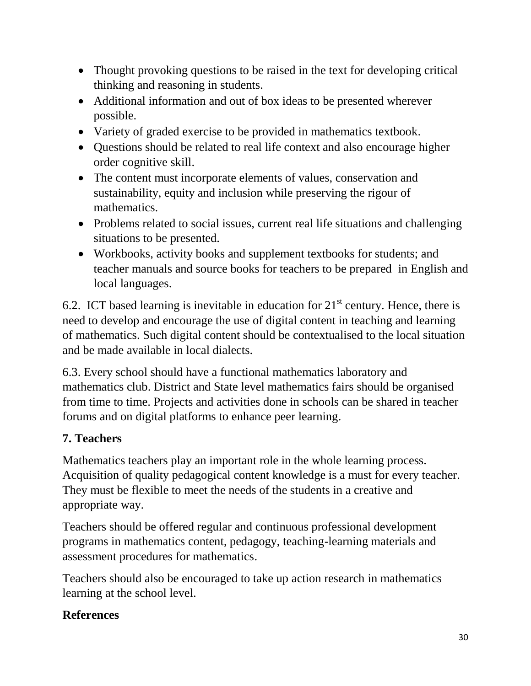- Thought provoking questions to be raised in the text for developing critical thinking and reasoning in students.
- Additional information and out of box ideas to be presented wherever possible.
- Variety of graded exercise to be provided in mathematics textbook.
- Questions should be related to real life context and also encourage higher order cognitive skill.
- The content must incorporate elements of values, conservation and sustainability, equity and inclusion while preserving the rigour of mathematics.
- Problems related to social issues, current real life situations and challenging situations to be presented.
- Workbooks, activity books and supplement textbooks for students; and teacher manuals and source books for teachers to be prepared in English and local languages.

6.2. ICT based learning is inevitable in education for  $21<sup>st</sup>$  century. Hence, there is need to develop and encourage the use of digital content in teaching and learning of mathematics. Such digital content should be contextualised to the local situation and be made available in local dialects.

6.3. Every school should have a functional mathematics laboratory and mathematics club. District and State level mathematics fairs should be organised from time to time. Projects and activities done in schools can be shared in teacher forums and on digital platforms to enhance peer learning.

# **7. Teachers**

Mathematics teachers play an important role in the whole learning process. Acquisition of quality pedagogical content knowledge is a must for every teacher. They must be flexible to meet the needs of the students in a creative and appropriate way.

Teachers should be offered regular and continuous professional development programs in mathematics content, pedagogy, teaching-learning materials and assessment procedures for mathematics.

Teachers should also be encouraged to take up action research in mathematics learning at the school level.

### **References**